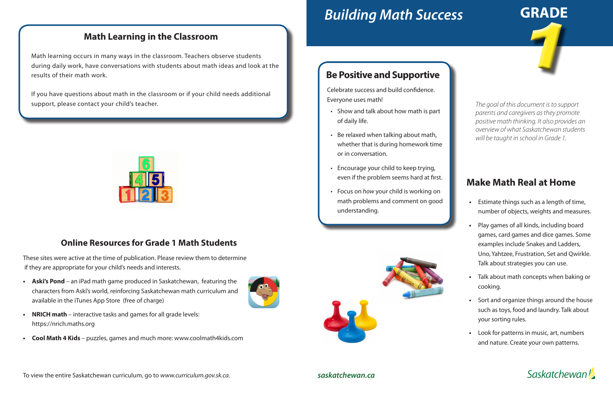# *Building Math Success*

*The goal of this document is to support parents and caregivers as they promote positive math thinking. It also provides an overview of what Saskatchewan students will be taught in school in Grade 1.*

## **Make Math Real at Home**

- **•** Estimate things such as a length of time, number of objects, weights and measures.
- **•** Play games of all kinds, including board games, card games and dice games. Some examples include Snakes and Ladders, Uno, Yahtzee, Frustration, Set and Qwirkle. Talk about strategies you can use.
- **•** Talk about math concepts when baking or cooking.
- **•** Sort and organize things around the house such as toys, food and laundry. Talk about your sorting rules.
- **•** Look for patterns in music, art, numbers and nature. Create your own patterns.

**Saskatchewan** 

#### **Math Learning in the Classroom**

Math learning occurs in many ways in the classroom. Teachers observe students during daily work, have conversations with students about math ideas and look at the results of their math work.

If you have questions about math in the classroom or if your child needs additional support, please contact your child's teacher.



**GRADE**

#### *saskatchewan.ca*

1

### **Be Positive and Supportive**

Celebrate success and build confidence. Everyone uses math!

- Show and talk about how math is part of daily life.
- Be relaxed when talking about math, whether that is during homework time or in conversation.
- Encourage your child to keep trying, even if the problem seems hard at first.
- Focus on *how* your child is working on math problems and comment on good understanding.



#### **Online Resources for Grade 1 Math Students**

These sites were active at the time of publication. Please review them to determine if they are appropriate for your child's needs and interests.

- **• Askî's Pond** an iPad math game produced in Saskatchewan, featuring the characters from Askî's world, reinforcing Saskatchewan math curriculum and available in the iTunes App Store (free of charge)
- **• NRICH math**  interactive tasks and games for all grade levels: https://nrich.maths.org
- **• Cool Math 4 Kids**  puzzles, games and much more: www.coolmath4kids.com